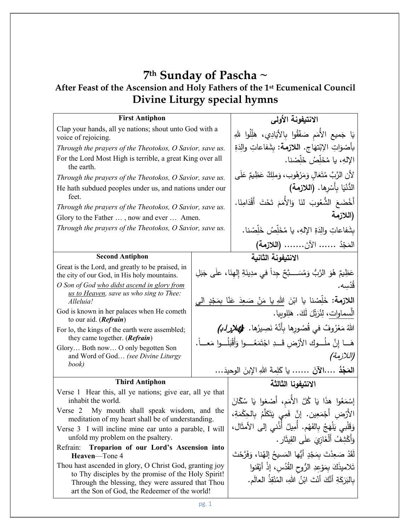## **7th Sunday of Pascha ~ After Feast of the Ascension and Holy Fathers of the 1st Ecumenical Council Divine Liturgy special hymns**

| <b>First Antiphon</b>                                                                                          |  | الانتيفونة الأولى                                                                                            |
|----------------------------------------------------------------------------------------------------------------|--|--------------------------------------------------------------------------------------------------------------|
| Clap your hands, all ye nations; shout unto God with a<br>voice of rejoicing.                                  |  | يَا جَميع الأُمَم صَفَّقُوا بِالأَيَادِي، هَلِّلُوا للهِ                                                     |
| Through the prayers of the Theotokos, O Savior, save us.                                                       |  | بأَصْوَاتِ الإِبْتهَاجِ. اللازمة: بشَفاعاتِ والِدَةِ                                                         |
| For the Lord Most High is terrible, a great King over all<br>the earth.                                        |  | الإلهِ، يا مُخَلِّصُ خَلِّصْنا.                                                                              |
| Through the prayers of the Theotokos, O Savior, save us.                                                       |  | لأن الرَّبَّ مُتَعَالِ وَمَرْهُوب، وَملِكٌ عَظِيمٌ عَلَى                                                     |
| He hath subdued peoples under us, and nations under our<br>feet.                                               |  | الدُّنْيَا بِأَسْرِها. (اللازمة)                                                                             |
| Through the prayers of the Theotokos, O Savior, save us.                                                       |  | أَخْضَعَ الشُّعُوبَ لَنَا وَالأُمَمَ تَحْتَ أَقْدَامِنَا.                                                    |
| Glory to the Father , now and ever  Amen.                                                                      |  | (اللازمة                                                                                                     |
| Through the prayers of the Theotokos, O Savior, save us.                                                       |  | بشَفاعاتِ والِدَةِ الإِلهِ، يا مُخَلِّصُ خَلِّصْنا.                                                          |
|                                                                                                                |  | المَجْدُ  الآنَ (اللازمة)                                                                                    |
| <b>Second Antiphon</b>                                                                                         |  | الانتيفونة الثانية                                                                                           |
| Great is the Lord, and greatly to be praised, in<br>the city of our God, in His holy mountains.                |  | عَظِيمٌ هُوَ الرَّبُّ وَمُسَـــبَّحٌ جِداً في مدِينَةِ إِلْهِنَا، علَى جَبَلِ                                |
| O Son of God who didst ascend in glory from<br>us to Heaven, save us who sing to Thee:<br>Alleluia!            |  | قَدْسِه.<br>اللازمة: خَلِّصْنا يا ابْنَ اللهِ يا مَنْ صَعِدَ عَنّا بِمَجْدٍ الى                              |
| God is known in her palaces when He cometh<br>to our aid. $(Refrain)$                                          |  | الْسماوات، لِثُرَتِّلَ لَكَ. هَلِلوبِيا.                                                                     |
| For lo, the kings of the earth were assembled;<br>they came together. (Refrain)                                |  |                                                                                                              |
| Glory Both now O only begotten Son                                                                             |  | هَـــا إِنَّ ملُـــوكَ الأَرْضِ قَـــدِ اجْتَمَعُــــوا وَأَقْبَلُـــوا مَعـــاً.                            |
| and Word of God (see Divine Liturgy<br>book)                                                                   |  | (اللازمة)                                                                                                    |
|                                                                                                                |  | ا <b>لمَجْدُ ….الآنَ …….</b> يا كَلِمةَ اللهِ الإِبنَ الوحيدَ…                                               |
| <b>Third Antiphon</b>                                                                                          |  | الانتيفونا الثالثة                                                                                           |
| Verse 1 Hear this, all ye nations; give ear, all ye that<br>inhabit the world.                                 |  | إِسْمَعُوا هذَا يَا كُلَّ الأُمَمِ، أَصْغوا يَا سُكّانَ                                                      |
| Verse 2 My mouth shall speak wisdom, and the<br>meditation of my heart shall be of understanding.              |  | الأَرْضِ أَجْمَعِين. إنَّ فَمِي يَتَكَلَّمُ بِالْحِكْمَةِ،                                                   |
| Verse 3 I will incline mine ear unto a parable, I will<br>unfold my problem on the psaltery.                   |  | وَقَلْبِي يَلْهَجُ بِالفَهْمِ. أَمِيلُ أَذُنِي إِلَى الأَمثَالِ،<br>وَأَكْشِفُ أَلْغَازِيَ علَى القِيثَارِ . |
| Refrain:<br>Troparion of our Lord's Ascension into                                                             |  |                                                                                                              |
| Heaven-Tone 4                                                                                                  |  | لَقَدْ صَعِدْتَ بِمَجْدٍ أَيُّها المَسيحُ إلهُنا، وَفَرَّحْتَ                                                |
| Thou hast ascended in glory, O Christ God, granting joy<br>to Thy disciples by the promise of the Holy Spirit! |  | تَلاميذَكَ بِمَوْعِدِ الرُّوحِ القُدُسِ، إذْ أَيْقَنوا                                                       |
| Through the blessing, they were assured that Thou<br>art the Son of God, the Redeemer of the world!            |  | بِالْبَرَكَةِ أَنَّكَ أَنْتَ ابْنُ اللهِ، الْمُنْقِذُ الْعالَمِ.                                             |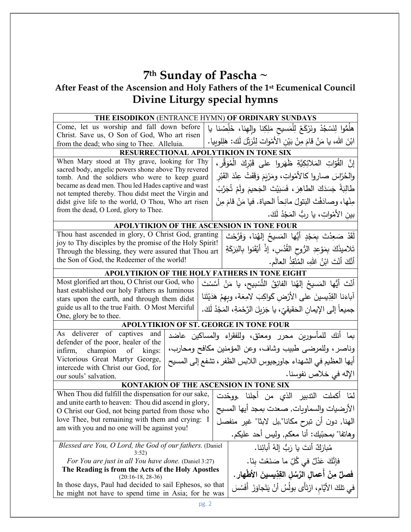# **7th Sunday of Pascha ~**

## **After Feast of the Ascension and Holy Fathers of the 1st Ecumenical Council Divine Liturgy special hymns**

|                                                                                                                             | THE EISODIKON (ENTRANCE HYMN) OF ORDINARY SUNDAYS                           |
|-----------------------------------------------------------------------------------------------------------------------------|-----------------------------------------------------------------------------|
| Come, let us worship and fall down before                                                                                   | هلُمُّوا لِنَسْجُدْ ونَرْكَعْ لِلْمَسيحِ مَلِكِنا وإِلهِنا، خَلِّصْنا يا    |
| Christ. Save us, O Son of God, Who art risen                                                                                | ابْنَ الله، يا مَنْ قامَ مِنْ بَيْنِ الأَمْوات لِنُرَبِّلَ لَك: هَلِلوبِيا. |
| from the dead; who sing to Thee. Alleluia.                                                                                  | RESURRECTIONAL APOLYTIKION IN TONE SIX                                      |
| When Mary stood at Thy grave, looking for Thy                                                                               |                                                                             |
| sacred body, angelic powers shone above Thy revered                                                                         | إِنَّ الْقُوَّاتِ الْمَلائِكِيَّةِ ظَهَروا على قَبْرِكَ الْمُوَقَّرِ ،      |
| tomb. And the soldiers who were to keep guard                                                                               | والحُرّاسَ صاروا كالأَمْواتِ، ومَرْيَمَ وَقَفَتْ عِنْدَ القَبْرِ            |
| became as dead men. Thou led Hades captive and wast                                                                         | طَالِبَةً جَسَدَكَ الطاهِرَ ، فَسَبَيْتَ الْجَحيمَ ولَمْ تُجَرَّبْ          |
| not tempted thereby. Thou didst meet the Virgin and<br>didst give life to the world, O Thou, Who art risen                  | مِنْها، وصادَفْتَ البَتولَ مانِحاً الحياة. فيا مَنْ قامَ مِنْ               |
| from the dead, O Lord, glory to Thee.                                                                                       |                                                                             |
|                                                                                                                             | بين الأمْواتِ، يا ربُّ المَجْدُ لَكَ.                                       |
|                                                                                                                             | APOLYTIKION OF THE ASCENSION IN TONE FOUR                                   |
| Thou hast ascended in glory, O Christ God, granting                                                                         | لَقَدْ صَعِدْتَ بِمَجْدٍ أَيُّها المَسيحُ إِلهُنا، وَفَرَّحْتَ              |
| joy to Thy disciples by the promise of the Holy Spirit!<br>Through the blessing, they were assured that Thou art            | تَلاميذَكَ بِمَوْعِدِ الرُّوحِ القُدُسِ، إذْ أَيْقَنوا بِالبَرَكَةِ         |
| the Son of God, the Redeemer of the world!                                                                                  | أَنَّكَ أَنْتَ ابْنُ اللهِ، المُنْقِذُ العالَم.                             |
|                                                                                                                             | APOLYTIKION OF THE HOLY FATHERS IN TONE EIGHT                               |
| Most glorified art thou, O Christ our God, who                                                                              |                                                                             |
| أَنْتَ أَيُّها الْمَسيحُ إِلٰهُنا الفائِقُ النَّسْبِيحِ، يا مَنْ أَسَّسْتَ<br>hast established our holy Fathers as luminous |                                                                             |
| stars upon the earth, and through them didst                                                                                | آباءَنا القِدِّيسينَ على الأرْض كَواكِبَ لامِعَة، وبِهِمْ هَدَيْتَنا        |
| guide us all to the true Faith. O Most Merciful                                                                             | جميعاً إلى الإيمانِ الحَقيقيِّ، يا جَزيلَ الرَّحْمَةِ، المَجْدُ لَكَ.       |
| One, glory be to thee.                                                                                                      |                                                                             |
| As deliverer of captives and                                                                                                | APOLYTIKION OF ST. GEORGE IN TONE FOUR                                      |
| defender of the poor, healer of the                                                                                         | بما أنك للمأسورين محرر ومعتق، وللفقراء والمساكين عاضد                       |
| champion of kings:<br>infirm,                                                                                               | وناصر ، وللمرضى طبيب وشاف، وعن المؤمنين مكافح ومحارب،                       |
| Victorious Great Martyr George,                                                                                             | أيها العظيم في الشهداء جاورجيوس اللابس الظفر ، تشفع إلى المسيح              |
| intercede with Christ our God, for<br>our souls' salvation.                                                                 | الإله في خلاص نفوسنا.                                                       |
|                                                                                                                             | KONTAKION OF THE ASCENSION IN TONE SIX                                      |
| When Thou did fulfill the dispensation for our sake,                                                                        | لمّا أكملت التدبير الذي من أجلنا ,ووحّدت                                    |
| and unite earth to heaven: Thou did ascend in glory,                                                                        |                                                                             |
| O Christ our God, not being parted from those who                                                                           | الأرضيات والسماويات, صعدت بمجد أيها المسيح                                  |
| love Thee, but remaining with them and crying: I                                                                            | الهنا, دون أن تبرح مكانا",بل لابثا" غير منفصل                               |
| am with you and no one will be against you!                                                                                 | وهاتفا" بمحبّيك: أنا معكم, وليس أحد عليكم.                                  |
| Blessed are You, O Lord, the God of our fathers. (Daniel                                                                    | مُبارَكٌ أنتَ يا رَبُّ إلهُ أبائِنا.                                        |
| 3:52)                                                                                                                       |                                                                             |
| فَإِنَّكَ عَذْلٌ في كُلِّ ما صَنَعْتَ بِنَا.<br><i>For You are just in all You have done.</i> (Daniel 3:27)                 |                                                                             |
| The Reading is from the Acts of the Holy Apostles<br>$(20:16-18, 28-36)$                                                    | فصلٌ مِنْ أعمالٍ الرُسُلِ القِدِّيسينَ الأطْهارِ .                          |
| In those days, Paul had decided to sail Ephesos, so that                                                                    | في تلكَ الأيَّامِ، ارْتَأَى بولُسُ أنْ يَتَجاوَزَ أَفَسُسَ                  |
| he might not have to spend time in Asia; for he was                                                                         |                                                                             |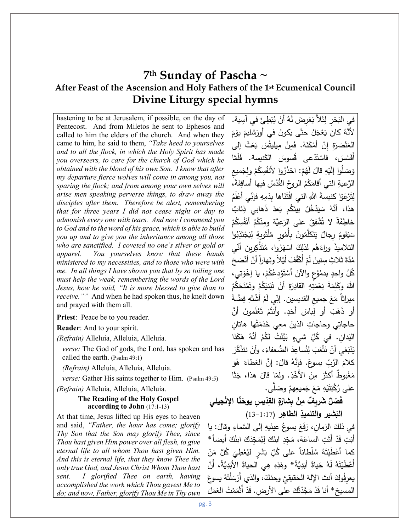## **7th Sunday of Pascha ~ After Feast of the Ascension and Holy Fathers of the 1st Ecumenical Council Divine Liturgy special hymns**

| hastening to be at Jerusalem, if possible, on the day of                                                              |  | في البَحْرِ لِئَلاً يَعْرِضَ لَهُ أَنْ يُبْطِئَ في آسِية.                     |
|-----------------------------------------------------------------------------------------------------------------------|--|-------------------------------------------------------------------------------|
| Pentecost. And from Miletos he sent to Ephesos and                                                                    |  | لأَنَّهُ كانَ يَعْجَلُ حتَّى يكونَ في أُورَشليمَ يوْمَ                        |
| called to him the elders of the church. And when they<br>came to him, he said to them, "Take heed to yourselves"      |  |                                                                               |
| and to all the flock, in which the Holy Spirit has made                                                               |  | العَنْصَرَةِ إِنْ أَمْكَنَهُ. فَمِنْ مِيلِيتُسَ بَعَثَ إِلَى                  |
| you overseers, to care for the church of God which he                                                                 |  | أَفَسُسَ، فاسْتَدْعى ڤُسوسَ الكَنيسة. فَلَمَّا                                |
| obtained with the blood of his own Son. I know that after                                                             |  | وَصَلُوا إِلَيْهِ قَالَ لَهُمْ: احْذَرُوا لأَنفُسِكُمْ ولِجَميع               |
| my departure fierce wolves will come in among you, not                                                                |  |                                                                               |
| sparing the flock; and from among your own selves will                                                                |  | الرَّعِيةِ الَّتِي أَقَامَكُمُ الروحُ القُدُسُ فيها أَساقِفَةً،               |
| arise men speaking perverse things, to draw away the<br>disciples after them. Therefore be alert, remembering         |  | لِتَرْعَوْا كنيسةَ اللهِ التي اقْتَنَاها بدَمِهِ فإنِّي أَعْلَمُ              |
| that for three years I did not cease night or day to                                                                  |  | هذا، أَنَّهُ سَيَدْخُلُ بِينَكُم بَعدَ ذَهابي ذِئابٌ                          |
| admonish every one with tears. And now I commend you                                                                  |  | خاطِفَةٌ لا تُشْفِقُ على الرَعِيَّة ومِنْكُمُ أَنْفُسِكُمْ                    |
| to God and to the word of his grace, which is able to build<br>you up and to give you the inheritance among all those |  | سَيَقومُ رجالٌ يَتَكَلَّمُونَ بِأَمُورِ مُلْتَوِيةٍ لِيَجْتَذِبُوا            |
| who are sanctified. I coveted no one's silver or gold or                                                              |  | التلاميذَ وراءَهُم لذلِكَ اسْهَرُوا، مُتَذَّكِرِينَ أُنَّبِي                  |
| apparel. You yourselves know that these hands<br>ministered to my necessities, and to those who were with             |  | مُدَّةَ ثَلاثٍ سِنينَ لَمْ أَكْفُفْ لَيْلاً ونَهاراً أنْ أَنْصَحَ             |
| me. In all things I have shown you that by so toiling one                                                             |  | كُلَّ واحِدٍ بدمُوُعٍ والآنَ أَسْتَوْدِعُكُمْ، يا إِخْوَتِي،                  |
| must help the weak, remembering the words of the Lord<br>Jesus, how he said, "It is more blessed to give than to      |  | اللهَ وكَلِمَةَ نِعْمَتِهِ القادِرَةَ أَنْ تَبْنيَكُمْ وتَمْنَحَكُمْ          |
| <i>receive.</i> "" And when he had spoken thus, he knelt down                                                         |  |                                                                               |
| and prayed with them all.                                                                                             |  | ميراثاً مَعَ جميع القديسين. إنِّي لَمْ أَشْتَهِ فِضَّةَ                       |
| Priest: Peace be to you reader.                                                                                       |  | أُو ذَهَبَ أُو لِباسَ أَحَدٍ. وأَنتُمْ تَعْلَمونَ أَنَّ                       |
| <b>Reader:</b> And to your spirit.                                                                                    |  | حاجاتِي وحاجاتِ الذينَ معِي خَدَمَتْها هاتان                                  |
| (Refrain) Alleluia, Alleluia, Alleluia.                                                                               |  | الْيَدانِ. في كُلِّ شيءٍ بَيَّنْتُ لَكُمْ أَنَّهُ هَكَذا                      |
| verse: The God of gods, the Lord, has spoken and has                                                                  |  | يَنْبَغي أَنْ نَتْعَبَ لِنُساعِدَ الضُعفاءَ، وأَنْ نتذَكَّرَ                  |
| called the earth. (Psalm 49:1)                                                                                        |  | كلامَ الرَّبِّ يسوعَ. فإنَّهُ قالَ: إنَّ العَطاءَ هُوَ                        |
| (Refrain) Alleluia, Alleluia, Alleluia.                                                                               |  | مَغْبوطٌ أكثَّرَ مِنَ الأُخْذِ. ولَمّا قالَ هذا، جَثَا                        |
| verse: Gather His saints together to Him. (Psalm 49:5)                                                                |  |                                                                               |
| (Refrain) Alleluia, Alleluia, Alleluia.                                                                               |  | على رُكْبَتَيْهِ مَعَ جَميعِهِمْ وصَلَّى.                                     |
| The Reading of the Holy Gospel<br>according to John (17:1-13)                                                         |  | فَصْلٌ شَرِيفٌ مِنْ بِشارَةِ القِدّيسِ يوحَنّا الإِنْجِيلى                    |
| At that time, Jesus lifted up His eyes to heaven                                                                      |  | النَشير والتلميذِ الطاهِرِ (1:17–13)                                          |
| and said, "Father, the hour has come; glorify                                                                         |  | في ذلكَ الزمان، رَفَعَ يسوعُ عينَيهِ إلى السَّماءِ وقالَ: يا                  |
| Thy Son that the Son may glorify Thee, since                                                                          |  |                                                                               |
| Thou hast given Him power over all flesh, to give                                                                     |  | أَبَتِ قَدْ أَتَتِ الساعَة، مَجّدِ ابنَكَ لِيُمَجّدَكَ ابنُكَ أيضاً *         |
| eternal life to all whom Thou hast given Him.                                                                         |  | كما أَعْطَيْتَهُ سُلْطاناً على كُلِّ بَشَرِ ليُعْطِيَ كُلَّ مَنْ              |
| And this is eternal life, that they know Thee the                                                                     |  | أَعْطَيْتَهُ لَهُ حَياةً أَبَدِيَّةً* وهَذِهِ هِي الحياةُ الأَبَدِيَّةُ، أَنْ |
| only true God, and Jesus Christ Whom Thou hast<br>I glorified Thee on earth, having<br>sent.                          |  |                                                                               |
| accomplished the work which Thou gavest Me to                                                                         |  | يعرفُوكَ أنتَ الإِلهَ الحَقيقيِّ وحدَكَ، والذي أرْسَلْتَهُ يسوعَ              |
| do; and now, Father, glorify Thou Me in Thy own                                                                       |  | المسيحَ* أنا قَدْ مَجَّدْتُكَ على الأرض. قَدْ أَتْمَمْتُ العَمَلَ             |